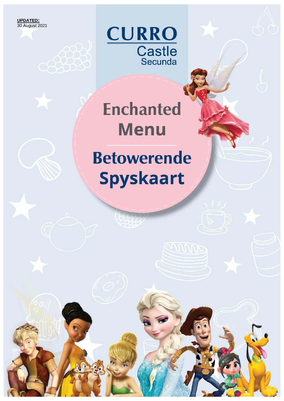**UPDATED:** 30 August 2021



## **Enchanted Menu**

### **Betowerende Spyskaart**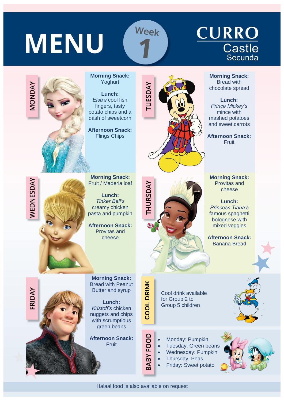**MENU** 

MONDAY

WEDNESDAY

FRIDAY

# **CURRO**<br>Castle<br>Secunda

**Morning Snack: Morning Snack:** Yoghurt Bread with **UESDAY** chocolate spread **Lunch:** *Elsa's* cool fish **Lunch:** *Prince Mickey's* fingers, tasty mince with potato chips and a dash of sweetcorn mashed potatoes and sweet carrots **Afternoon Snack:** Flings Chips **Afternoon Snack:** Fruit **Morning Snack: Morning Snack:** Fruit / Maderia loaf THURSDAY Provitas and cheese **Lunch:** *Tinker Bell's* **Lunch:** *Princess Tiana's* creamy chicken pasta and pumpkin famous spaghetti bolognese with **Afternoon Snack:** mixed veggies Provitas and cheese **Afternoon Snack:** Banana Bread **Morning Snack: COOL DRINK** Bread with Peanut Butter and syrup Cool drink available for Group 2 to **Lunch:** Group 5 children *Kristoff's* chicken nuggets and chips with scrumptious green beans BABY FOOD **Afternoon Snack:** Monday: Pumpkin **Fruit** • Tuesday: Green beans • Wednesday: Pumpkin • Thursday: Peas • Friday: Sweet potato

Week

Halaal food is also available on request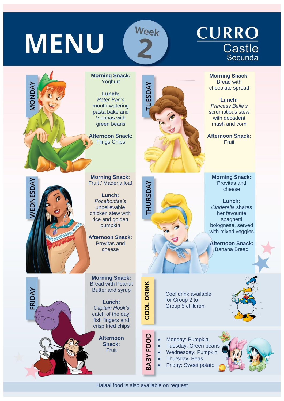**MENU** 

VAQNDAY

**NEDNESDAY** 

FRIDAY

### **CURRO**  $\overline{\text{Castle}}$ <br>Secunda

**Morning Snack:** Bread with chocolate spread

**Lunch:** *Princess Belle's* scrumptious stew with decadent mash and corn

**Afternoon Snack: Fruit** 

**Morning Snack:** Yoghurt

**Lunch:** *Peter Pan's* mouth-watering pasta bake and Viennas with green beans

**Afternoon Snack:** Flings Chips



**Morning Snack:** Fruit / Maderia loaf

**Lunch:** *Pocahontas's* unbelievable chicken stew with rice and golden pumpkin

**Afternoon Snack:** Provitas and cheese

**Morning Snack:** Bread with Peanut Butter and syrup

**Lunch:** *Captain Hook's* catch of the day: fish fingers and crisp fried chips

> **Afternoon Snack: Fruit**



Week

**Morning Snack:** Provitas and cheese

**Lunch:** *Cinderella* shares her favourite spaghetti bolognese, served with mixed veggies

**Afternoon Snack:** Banana Bread

Cool drink available for Group 2 to Group 5 children

- Monday: Pumpkin
- Tuesday: Green beans
- Wednesday: Pumpkin
- Thursday: Peas
	- Friday: Sweet potato



**COOL DRINK**

BABY FOOD

**HURSDAY**